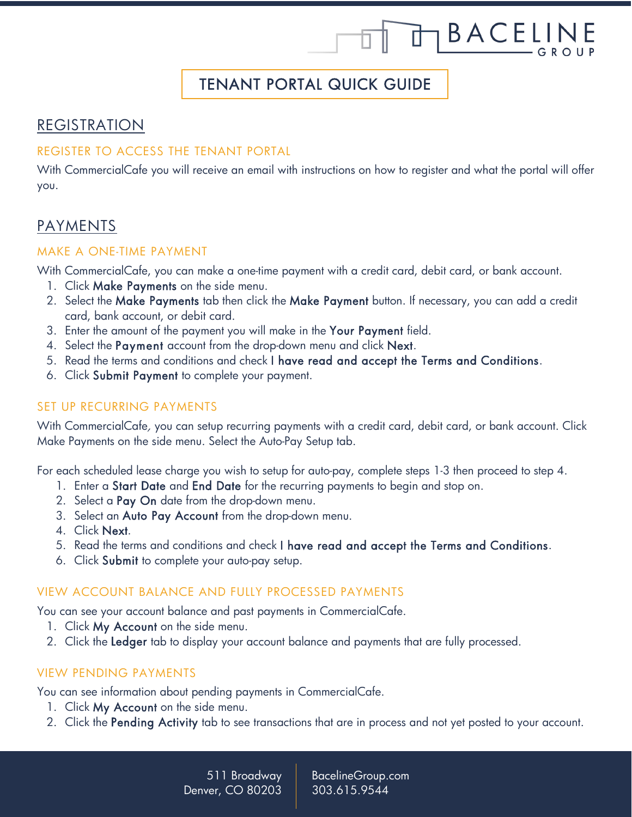# TENANT PORTAL QUICK GUIDE

TBACELINE

# REGISTRATION

#### REGISTER TO ACCESS THE TENANT PORTAL

With CommercialCafe you will receive an email with instructions on how to register and what the portal will offer you.

# PAYMENTS

#### MAKE A ONE-TIME PAYMENT

With CommercialCafe, you can make a one-time payment with a credit card, debit card, or bank account.

- 1. Click Make Payments on the side menu.
- 2. Select the Make Payments tab then click the Make Payment button. If necessary, you can add a credit card, bank account, or debit card.
- 3. Enter the amount of the payment you will make in the Your Payment field.
- 4. Select the Payment account from the drop-down menu and click Next.
- 5. Read the terms and conditions and check I have read and accept the Terms and Conditions.
- 6. Click Submit Payment to complete your payment.

#### SET UP RECURRING PAYMENTS

With CommercialCafe, you can setup recurring payments with a credit card, debit card, or bank account. Click Make Payments on the side menu. Select the Auto-Pay Setup tab.

For each scheduled lease charge you wish to setup for auto-pay, complete steps 1-3 then proceed to step 4.

- 1. Enter a Start Date and End Date for the recurring payments to begin and stop on.
- 2. Select a Pay On date from the drop-down menu.
- 3. Select an Auto Pay Account from the drop-down menu.
- 4. Click Next.
- 5. Read the terms and conditions and check I have read and accept the Terms and Conditions.
- 6. Click Submit to complete your auto-pay setup.

# VIEW ACCOUNT BALANCE AND FULLY PROCESSED PAYMENTS

You can see your account balance and past payments in CommercialCafe.

- 1. Click My Account on the side menu.
- 2. Click the Ledger tab to display your account balance and payments that are fully processed.

# VIEW PENDING PAYMENTS

You can see information about pending payments in CommercialCafe.

- 1. Click My Account on the side menu.
- 2. Click the Pending Activity tab to see transactions that are in process and not yet posted to your account.

511 Broadway Denver, CO 80203

BacelineGroup.com 303.615.9544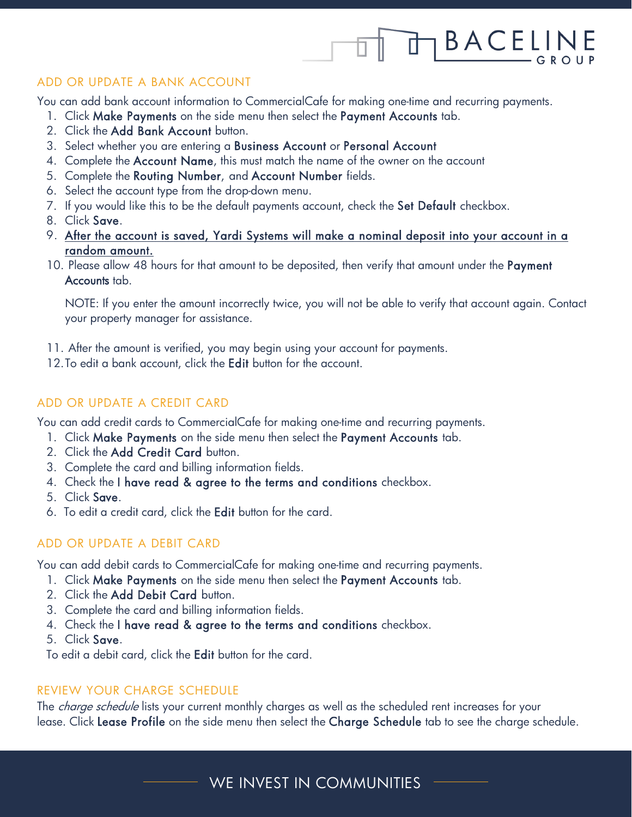# 1 B A C E L I IÌ

#### ADD OR UPDATE A BANK ACCOUNT

You can add bank account information to CommercialCafe for making one-time and recurring payments.

- 1. Click Make Payments on the side menu then select the Payment Accounts tab.
- 2. Click the Add Bank Account button.
- 3. Select whether you are entering a Business Account or Personal Account
- 4. Complete the Account Name, this must match the name of the owner on the account
- 5. Complete the Routing Number, and Account Number fields.
- 6. Select the account type from the drop-down menu.
- 7. If you would like this to be the default payments account, check the Set Default checkbox.
- 8. Click Save.
- 9. After the account is saved, Yardi Systems will make a nominal deposit into your account in a random amount.
- 10. Please allow 48 hours for that amount to be deposited, then verify that amount under the Payment Accounts tab.

NOTE: If you enter the amount incorrectly twice, you will not be able to verify that account again. Contact your property manager for assistance.

- 11. After the amount is verified, you may begin using your account for payments.
- 12. To edit a bank account, click the Edit button for the account.

# ADD OR UPDATE A CREDIT CARD

You can add credit cards to CommercialCafe for making one-time and recurring payments.

- 1. Click Make Payments on the side menu then select the Payment Accounts tab.
- 2. Click the Add Credit Card button.
- 3. Complete the card and billing information fields.
- 4. Check the I have read & agree to the terms and conditions checkbox.
- 5. Click Save.
- 6. To edit a credit card, click the Edit button for the card.

# ADD OR UPDATE A DEBIT CARD

You can add debit cards to CommercialCafe for making one-time and recurring payments.

- 1. Click Make Payments on the side menu then select the Payment Accounts tab.
- 2. Click the Add Debit Card button.
- 3. Complete the card and billing information fields.
- 4. Check the I have read & agree to the terms and conditions checkbox.
- 5. Click Save.

To edit a debit card, click the Edit button for the card.

#### REVIEW YOUR CHARGE SCHEDULE

The *charge schedule* lists your current monthly charges as well as the scheduled rent increases for your lease. Click Lease Profile on the side menu then select the Charge Schedule tab to see the charge schedule.

WE INVEST IN COMMUNITIES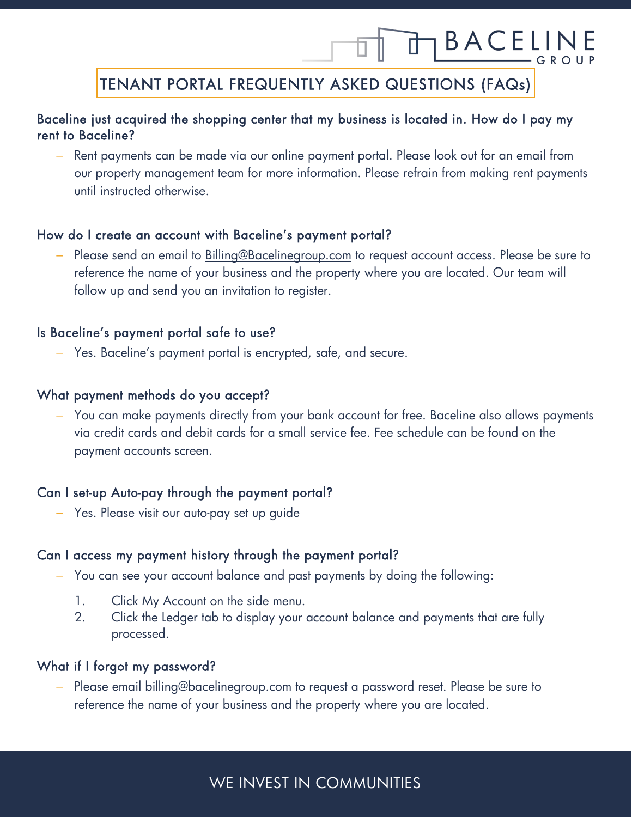# 亡 TENANT PORTAL FREQUENTLY ASKED QUESTIONS (FAQs)

BACELI

#### Ī Baceline just acquired the shopping center that my business is located in. How do I pay my rent to Baceline?

Rent payments can be made via our online payment portal. Please look out for an email from our property management team for more information. Please refrain from making rent payments until instructed otherwise.

### How do I create an account with Baceline's payment portal?

Please send an email to [Billing@Bacelinegroup.com](mailto:Billing@Bacelinegroup.com) to request account access. Please be sure to reference the name of your business and the property where you are located. Our team will follow up and send you an invitation to register.

#### Is Baceline's payment portal safe to use?

− Yes. Baceline's payment portal is encrypted, safe, and secure.

# What payment methods do you accept?

− You can make payments directly from your bank account for free. Baceline also allows payments via credit cards and debit cards for a small service fee. Fee schedule can be found on the payment accounts screen.

# Can I set-up Auto-pay through the payment portal?

− Yes. Please visit our auto-pay set up guide

# Can I access my payment history through the payment portal?

- − You can see your account balance and past payments by doing the following:
	- 1. Click My Account on the side menu.
	- 2. Click the Ledger tab to display your account balance and payments that are fully processed.

# What if I forgot my password?

Please email [billing@bacelinegroup.com](mailto:billing@bacelinegroup.com) to request a password reset. Please be sure to reference the name of your business and the property where you are located.